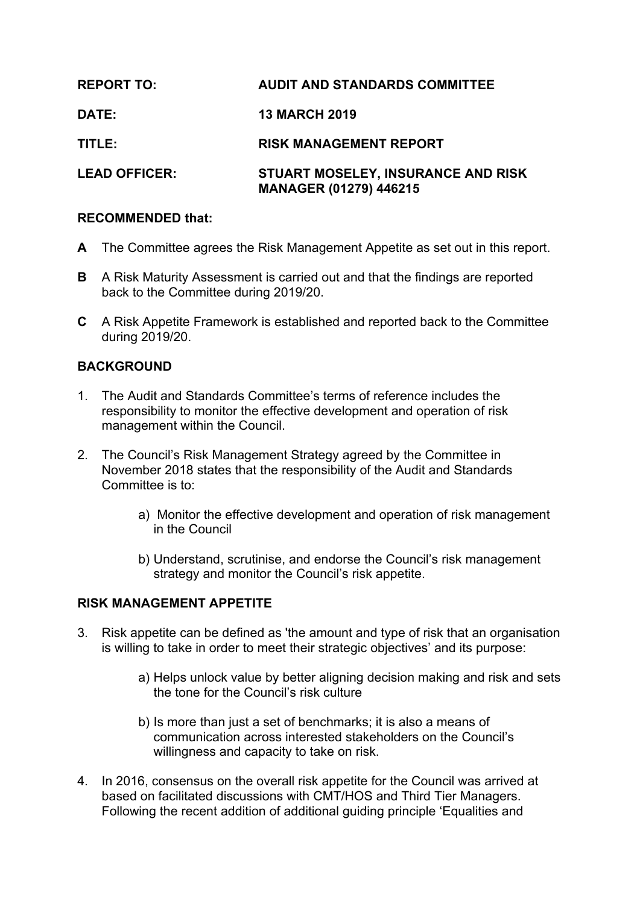| <b>REPORT TO:</b>    | <b>AUDIT AND STANDARDS COMMITTEE</b>                                       |
|----------------------|----------------------------------------------------------------------------|
| DATE:                | <b>13 MARCH 2019</b>                                                       |
| TITLE:               | <b>RISK MANAGEMENT REPORT</b>                                              |
| <b>LEAD OFFICER:</b> | <b>STUART MOSELEY, INSURANCE AND RISK</b><br><b>MANAGER (01279) 446215</b> |

## **RECOMMENDED that:**

- **A** The Committee agrees the Risk Management Appetite as set out in this report.
- **B** A Risk Maturity Assessment is carried out and that the findings are reported back to the Committee during 2019/20.
- **C** A Risk Appetite Framework is established and reported back to the Committee during 2019/20.

## **BACKGROUND**

- 1. The Audit and Standards Committee's terms of reference includes the responsibility to monitor the effective development and operation of risk management within the Council.
- 2. The Council's Risk Management Strategy agreed by the Committee in November 2018 states that the responsibility of the Audit and Standards Committee is to:
	- a) Monitor the effective development and operation of risk management in the Council
	- b) Understand, scrutinise, and endorse the Council's risk management strategy and monitor the Council's risk appetite.

### **RISK MANAGEMENT APPETITE**

- 3. Risk appetite can be defined as 'the amount and type of risk that an organisation is willing to take in order to meet their strategic objectives' and its purpose:
	- a) Helps unlock value by better aligning decision making and risk and sets the tone for the Council's risk culture
	- b) Is more than just a set of benchmarks; it is also a means of communication across interested stakeholders on the Council's willingness and capacity to take on risk.
- 4. In 2016, consensus on the overall risk appetite for the Council was arrived at based on facilitated discussions with CMT/HOS and Third Tier Managers. Following the recent addition of additional guiding principle 'Equalities and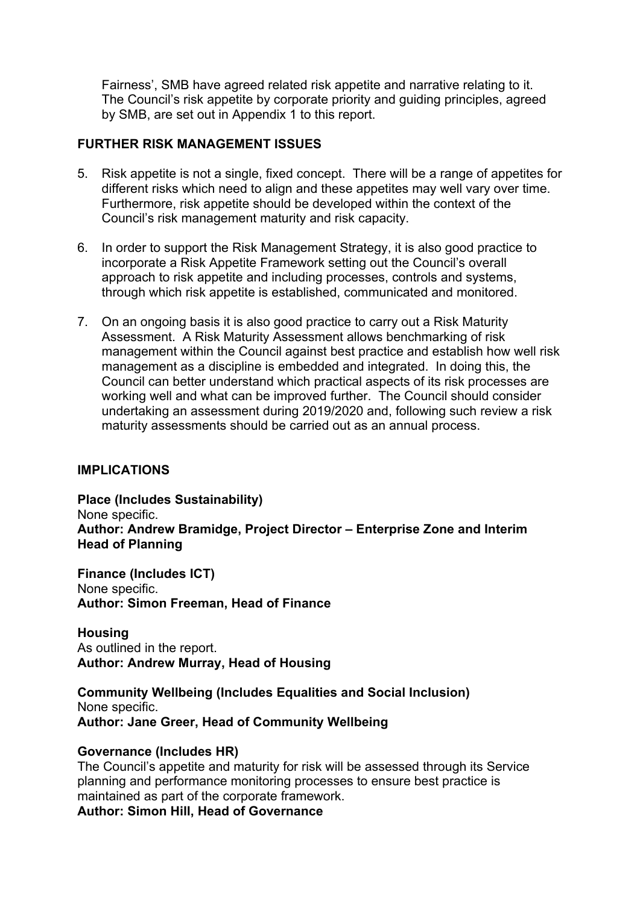Fairness', SMB have agreed related risk appetite and narrative relating to it. The Council's risk appetite by corporate priority and guiding principles, agreed by SMB, are set out in Appendix 1 to this report.

## **FURTHER RISK MANAGEMENT ISSUES**

- 5. Risk appetite is not a single, fixed concept. There will be a range of appetites for different risks which need to align and these appetites may well vary over time. Furthermore, risk appetite should be developed within the context of the Council's risk management maturity and risk capacity.
- 6. In order to support the Risk Management Strategy, it is also good practice to incorporate a Risk Appetite Framework setting out the Council's overall approach to risk appetite and including processes, controls and systems, through which risk appetite is established, communicated and monitored.
- 7. On an ongoing basis it is also good practice to carry out a Risk Maturity Assessment. A Risk Maturity Assessment allows benchmarking of risk management within the Council against best practice and establish how well risk management as a discipline is embedded and integrated. In doing this, the Council can better understand which practical aspects of its risk processes are working well and what can be improved further. The Council should consider undertaking an assessment during 2019/2020 and, following such review a risk maturity assessments should be carried out as an annual process.

### **IMPLICATIONS**

**Place (Includes Sustainability)** None specific. **Author: Andrew Bramidge, Project Director – Enterprise Zone and Interim Head of Planning**

**Finance (Includes ICT)** None specific. **Author: Simon Freeman, Head of Finance**

**Housing** As outlined in the report. **Author: Andrew Murray, Head of Housing**

**Community Wellbeing (Includes Equalities and Social Inclusion)** None specific. **Author: Jane Greer, Head of Community Wellbeing**

### **Governance (Includes HR)**

The Council's appetite and maturity for risk will be assessed through its Service planning and performance monitoring processes to ensure best practice is maintained as part of the corporate framework. **Author: Simon Hill, Head of Governance**